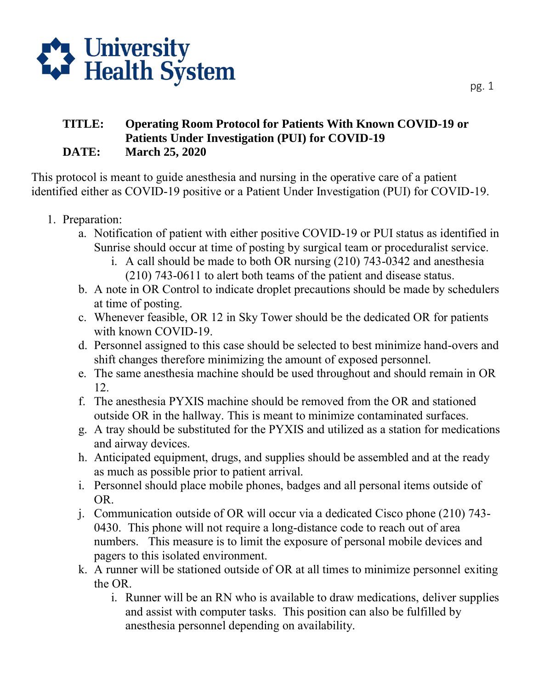

## **TITLE: Operating Room Protocol for Patients With Known COVID-19 or Patients Under Investigation (PUI) for COVID-19 DATE: March 25, 2020**

This protocol is meant to guide anesthesia and nursing in the operative care of a patient identified either as COVID-19 positive or a Patient Under Investigation (PUI) for COVID-19.

- 1. Preparation:
	- a. Notification of patient with either positive COVID-19 or PUI status as identified in Sunrise should occur at time of posting by surgical team or proceduralist service.
		- i. A call should be made to both OR nursing (210) 743-0342 and anesthesia (210) 743-0611 to alert both teams of the patient and disease status.
	- b. A note in OR Control to indicate droplet precautions should be made by schedulers at time of posting.
	- c. Whenever feasible, OR 12 in Sky Tower should be the dedicated OR for patients with known COVID-19.
	- d. Personnel assigned to this case should be selected to best minimize hand-overs and shift changes therefore minimizing the amount of exposed personnel.
	- e. The same anesthesia machine should be used throughout and should remain in OR 12.
	- f. The anesthesia PYXIS machine should be removed from the OR and stationed outside OR in the hallway. This is meant to minimize contaminated surfaces.
	- g. A tray should be substituted for the PYXIS and utilized as a station for medications and airway devices.
	- h. Anticipated equipment, drugs, and supplies should be assembled and at the ready as much as possible prior to patient arrival.
	- i. Personnel should place mobile phones, badges and all personal items outside of OR.
	- j. Communication outside of OR will occur via a dedicated Cisco phone (210) 743- 0430. This phone will not require a long-distance code to reach out of area numbers. This measure is to limit the exposure of personal mobile devices and pagers to this isolated environment.
	- k. A runner will be stationed outside of OR at all times to minimize personnel exiting the OR.
		- i. Runner will be an RN who is available to draw medications, deliver supplies and assist with computer tasks. This position can also be fulfilled by anesthesia personnel depending on availability.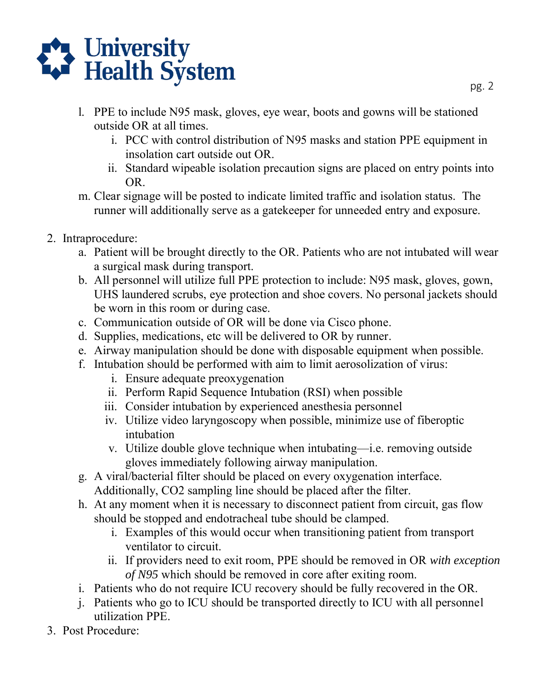

- l. PPE to include N95 mask, gloves, eye wear, boots and gowns will be stationed outside OR at all times.
	- i. PCC with control distribution of N95 masks and station PPE equipment in insolation cart outside out OR.
	- ii. Standard wipeable isolation precaution signs are placed on entry points into OR.
- m. Clear signage will be posted to indicate limited traffic and isolation status. The runner will additionally serve as a gatekeeper for unneeded entry and exposure.
- 2. Intraprocedure:
	- a. Patient will be brought directly to the OR. Patients who are not intubated will wear a surgical mask during transport.
	- b. All personnel will utilize full PPE protection to include: N95 mask, gloves, gown, UHS laundered scrubs, eye protection and shoe covers. No personal jackets should be worn in this room or during case.
	- c. Communication outside of OR will be done via Cisco phone.
	- d. Supplies, medications, etc will be delivered to OR by runner.
	- e. Airway manipulation should be done with disposable equipment when possible.
	- f. Intubation should be performed with aim to limit aerosolization of virus:
		- i. Ensure adequate preoxygenation
		- ii. Perform Rapid Sequence Intubation (RSI) when possible
		- iii. Consider intubation by experienced anesthesia personnel
		- iv. Utilize video laryngoscopy when possible, minimize use of fiberoptic intubation
		- v. Utilize double glove technique when intubating—i.e. removing outside gloves immediately following airway manipulation.
	- g. A viral/bacterial filter should be placed on every oxygenation interface. Additionally, CO2 sampling line should be placed after the filter.
	- h. At any moment when it is necessary to disconnect patient from circuit, gas flow should be stopped and endotracheal tube should be clamped.
		- i. Examples of this would occur when transitioning patient from transport ventilator to circuit.
		- ii. If providers need to exit room, PPE should be removed in OR *with exception of N95* which should be removed in core after exiting room.
	- i. Patients who do not require ICU recovery should be fully recovered in the OR.
	- j. Patients who go to ICU should be transported directly to ICU with all personnel utilization PPE.
- 3. Post Procedure: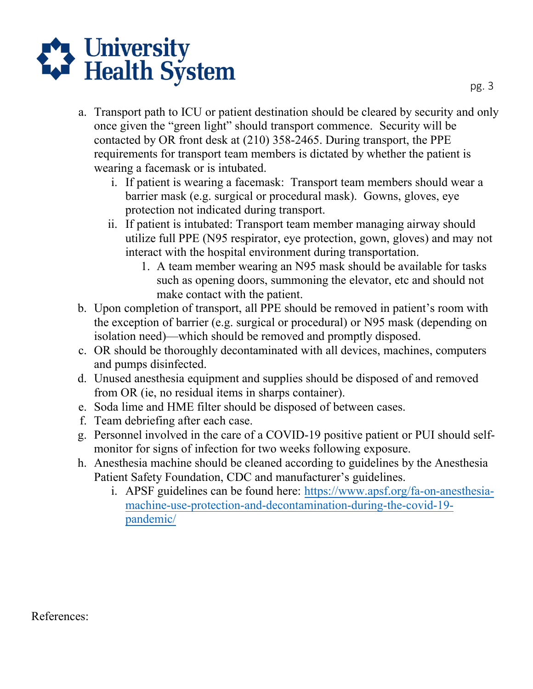

- once given the "green light" should transport commence. Security will be a. Transport path to ICU or patient destination should be cleared by security and only contacted by OR front desk at (210) 358-2465. During transport, the PPE requirements for transport team members is dictated by whether the patient is wearing a facemask or is intubated.
	- i. If patient is wearing a facemask: Transport team members should wear a barrier mask (e.g. surgical or procedural mask). Gowns, gloves, eye protection not indicated during transport.
	- ii. If patient is intubated: Transport team member managing airway should utilize full PPE (N95 respirator, eye protection, gown, gloves) and may not interact with the hospital environment during transportation.
		- 1. A team member wearing an N95 mask should be available for tasks such as opening doors, summoning the elevator, etc and should not make contact with the patient.
- the exception of barrier (e.g. surgical or procedural) or N95 mask (depending on b. Upon completion of transport, all PPE should be removed in patient's room with isolation need)—which should be removed and promptly disposed.
- c. OR should be thoroughly decontaminated with all devices, machines, computers and pumps disinfected.
- d. Unused anesthesia equipment and supplies should be disposed of and removed from OR (ie, no residual items in sharps container).
- e. Soda lime and HME filter should be disposed of between cases.
- f. Team debriefing after each case.
- g. Personnel involved in the care of a COVID-19 positive patient or PUI should selfmonitor for signs of infection for two weeks following exposure.
- h. Anesthesia machine should be cleaned according to guidelines by the Anesthesia Patient Safety Foundation, CDC and manufacturer's guidelines.
	- i. APSF guidelines can be found here: https://www.apsf.org/fa-on-anesthesiamachine-use-protection-and-decont[amination-during-the-covid-19](https://www.apsf.org/fa-on-anesthesia-machine-use-protection-and-decontamination-during-the-covid-19-pandemic/) [pandemic/](https://www.apsf.org/fa-on-anesthesia-machine-use-protection-and-decontamination-during-the-covid-19-pandemic/)

References: